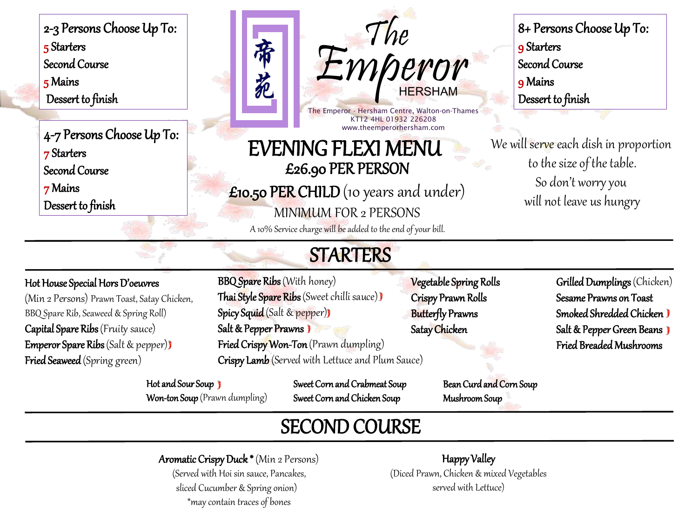2-3 Persons Choose Up To: 5 Starters Second Course 5 Mains Dessert to finish

4-7 Persons Choose Up To: 7 Starters Second Course

7 Mains

Dessert to finish

Emperor The HERSHAM

The Emperor - Hersham Centre, Walton-on-Thames KT12 4HL 01932 226208 www.theemperorhersham.com

## EVENING FLEXI MENU £26.90 PER PERSON

£10.50 PER CHILD (10 years and under)

MINIMUM FOR 2 PERSONS

A 10% Service charge will be added to the end of your bill.

### 8+ Persons Choose Up To: 9 Starters Second Course 9 Mains Dessert to finish

We will serve each dish in proportion to the size of the table. So don't worry you will not leave us hungry

# **STARTERS**

#### Hot House Special Hors D'oeuvres

(Min 2 Persons) Prawn Toast, Satay Chicken, BBQ Spare Rib, Seaweed & Spring Roll) Capital Spare Ribs (Fruity sauce) Emperor Spare Ribs (Salt & pepper) Fried Seaweed (Spring green)

BBQ Spare Ribs (With honey) Thai Style Spare Ribs (Sweet chilli sauce)) Spicy Squid (Salt & pepper)) Salt & Pepper Prawns Fried Crispy Won-Ton (Prawn dumpling) Crispy Lamb (Served with Lettuce and Plum Sauce)

帝

苑

Hot and Sour Soup  $\overline{\mathbf{y}}$ Won-ton Soup (Prawn dumpling) Sweet Corn and Crabmeat Soup Sweet Corn and Chicken Soup

Vegetable Spring Rolls Crispy Prawn Rolls Butterfly Prawns Satay Chicken

Grilled Dumplings (Chicken) Sesame Prawns on Toast Smoked Shredded Chicken Salt & Pepper Green Beans  $\mathbf{\hat{y}}$ Fried Breaded Mushrooms

SECOND COURSE

Aromatic Crispy Duck \* (Min 2 Persons) (Served with Hoi sin sauce, Pancakes, sliced Cucumber & Spring onion)

\*may contain traces of bones

Happy Valley (Diced Prawn, Chicken & mixed Vegetables served with Lettuce)

Mushroom Soup

Bean Curd and Corn Soup